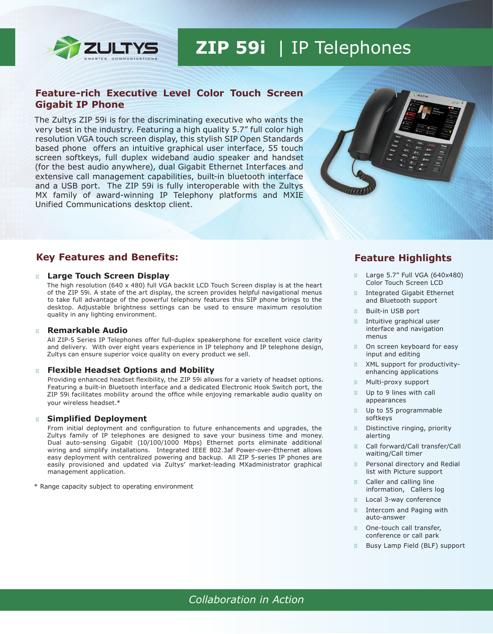

# **ZIP 59i** | IP Telephones

# **Feature-rich Executive Level Color Touch Screen Gigabit IP Phone**

The Zultys ZIP 59i is for the discriminating executive who wants the very best in the industry. Featuring a high quality 5.7" full color high resolution VGA touch screen display, this stylish SIP Open Standards based phone offers an intuitive graphical user interface, 55 touch screen softkeys, full duplex wideband audio speaker and handset (for the best audio anywhere), dual Gigabit Ethernet Interfaces and extensive call management capabilities, built-in bluetooth interface and a USB port. The ZIP 59i is fully interoperable with the Zultys MX family of award-winning IP Telephony platforms and MXIE Unified Communications desktop client.



# **Key Features and Benefits:**

#### **Large Touch Screen Display**

The high resolution (640 x 480) full VGA backlit LCD Touch Screen display is at the heart of the ZIP 59i. A state of the art display, the screen provides helpful navigational menus to take full advantage of the powerful telephony features this SIP phone brings to the desktop. Adjustable brightness settings can be used to ensure maximum resolution quality in any lighting environment.

#### **Remarkable Audio**

All ZIP-5 Series IP Telephones offer full-duplex speakerphone for excellent voice clarity and delivery. With over eight years experience in IP telephony and IP telephone design, Zultys can ensure superior voice quality on every product we sell.

#### **Flexible Headset Options and Mobility**

Providing enhanced headset flexibility, the ZIP 59i allows for a variety of headset options. Featuring a built-in Bluetooth interface and a dedicated Electronic Hook Switch port, the ZIP 59i facilitates mobility around the office while enjoying remarkable audio quality on your wireless headset.\*

#### **Simplified Deployment**

From initial deployment and configuration to future enhancements and upgrades, the Zultys family of IP telephones are designed to save your business time and money. Dual auto-sensing Gigabit (10/100/1000 Mbps) Ethernet ports eliminate additional wiring and simplify installations. Integrated IEEE 802.3af Power-over-Ethernet allows easy deployment with centralized powering and backup. All ZIP 5-series IP phones are easily provisioned and updated via Zultys' market-leading MXadministrator graphical management application.

\* Range capacity subject to operating environment

# **Feature Highlights**

Large 5.7" Full VGA (640x480) Color Touch Screen LCD

Integrated Gigabit Ethernet and Bluetooth support

Built-in USB port

Intuitive graphical user interface and navigation menus

On screen keyboard for easy input and editing

XML support for productivityenhancing applications

Multi-proxy support

Up to 9 lines with call appearances

Up to 55 programmable softkeys

Distinctive ringing, priority alerting

Call forward/Call transfer/Call waiting/Call timer

Personal directory and Redial list with Picture support

Caller and calling line information, Callers log

Local 3-way conference

Intercom and Paging with auto-answer

One-touch call transfer, conference or call park

Busy Lamp Field (BLF) support